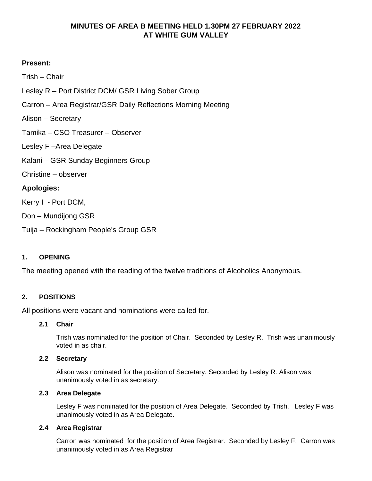# **MINUTES OF AREA B MEETING HELD 1.30PM 27 FEBRUARY 2022 AT WHITE GUM VALLEY**

# **Present:**

Trish – Chair

- Lesley R Port District DCM/ GSR Living Sober Group
- Carron Area Registrar/GSR Daily Reflections Morning Meeting
- Alison Secretary
- Tamika CSO Treasurer Observer
- Lesley F –Area Delegate
- Kalani GSR Sunday Beginners Group
- Christine observer

# **Apologies:**

Kerry I - Port DCM,

Don – Mundijong GSR

Tuija – Rockingham People's Group GSR

## **1. OPENING**

The meeting opened with the reading of the twelve traditions of Alcoholics Anonymous.

## **2. POSITIONS**

All positions were vacant and nominations were called for.

## **2.1 Chair**

Trish was nominated for the position of Chair. Seconded by Lesley R. Trish was unanimously voted in as chair.

## **2.2 Secretary**

Alison was nominated for the position of Secretary. Seconded by Lesley R. Alison was unanimously voted in as secretary.

## **2.3 Area Delegate**

Lesley F was nominated for the position of Area Delegate. Seconded by Trish. Lesley F was unanimously voted in as Area Delegate.

## **2.4 Area Registrar**

Carron was nominated for the position of Area Registrar. Seconded by Lesley F. Carron was unanimously voted in as Area Registrar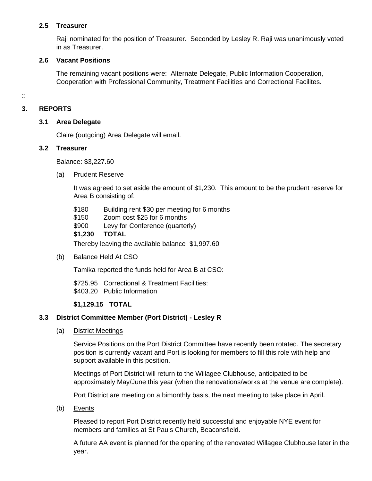### **2.5 Treasurer**

Raji nominated for the position of Treasurer. Seconded by Lesley R. Raji was unanimously voted in as Treasurer.

### **2.6 Vacant Positions**

The remaining vacant positions were: Alternate Delegate, Public Information Cooperation, Cooperation with Professional Community, Treatment Facilities and Correctional Facilites.

::

## **3. REPORTS**

### **3.1 Area Delegate**

Claire (outgoing) Area Delegate will email.

#### **3.2 Treasurer**

Balance: \$3,227.60

(a) Prudent Reserve

It was agreed to set aside the amount of \$1,230. This amount to be the prudent reserve for Area B consisting of:

- \$180 Building rent \$30 per meeting for 6 months
- \$150 Zoom cost \$25 for 6 months
- \$900 Levy for Conference (quarterly)
- **\$1,230 TOTAL**

Thereby leaving the available balance \$1,997.60

(b) Balance Held At CSO

Tamika reported the funds held for Area B at CSO:

\$725.95 Correctional & Treatment Facilities: \$403.20 Public Information

### **\$1,129.15 TOTAL**

## **3.3 District Committee Member (Port District) - Lesley R**

(a) District Meetings

Service Positions on the Port District Committee have recently been rotated. The secretary position is currently vacant and Port is looking for members to fill this role with help and support available in this position.

Meetings of Port District will return to the Willagee Clubhouse, anticipated to be approximately May/June this year (when the renovations/works at the venue are complete).

Port District are meeting on a bimonthly basis, the next meeting to take place in April.

(b) Events

Pleased to report Port District recently held successful and enjoyable NYE event for members and families at St Pauls Church, Beaconsfield.

A future AA event is planned for the opening of the renovated Willagee Clubhouse later in the year.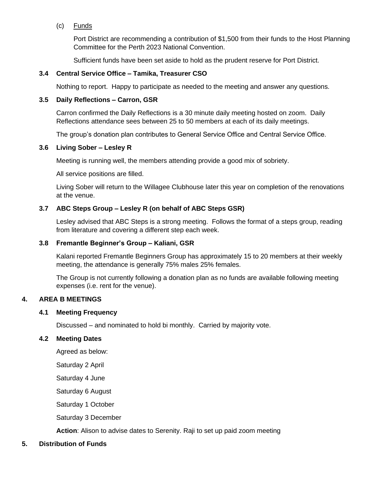(c) Funds

Port District are recommending a contribution of \$1,500 from their funds to the Host Planning Committee for the Perth 2023 National Convention.

Sufficient funds have been set aside to hold as the prudent reserve for Port District.

### **3.4 Central Service Office – Tamika, Treasurer CSO**

Nothing to report. Happy to participate as needed to the meeting and answer any questions.

### **3.5 Daily Reflections – Carron, GSR**

Carron confirmed the Daily Reflections is a 30 minute daily meeting hosted on zoom. Daily Reflections attendance sees between 25 to 50 members at each of its daily meetings.

The group's donation plan contributes to General Service Office and Central Service Office.

#### **3.6 Living Sober – Lesley R**

Meeting is running well, the members attending provide a good mix of sobriety.

All service positions are filled.

Living Sober will return to the Willagee Clubhouse later this year on completion of the renovations at the venue.

## **3.7 ABC Steps Group – Lesley R (on behalf of ABC Steps GSR)**

Lesley advised that ABC Steps is a strong meeting. Follows the format of a steps group, reading from literature and covering a different step each week.

### **3.8 Fremantle Beginner's Group – Kaliani, GSR**

Kalani reported Fremantle Beginners Group has approximately 15 to 20 members at their weekly meeting, the attendance is generally 75% males 25% females.

The Group is not currently following a donation plan as no funds are available following meeting expenses (i.e. rent for the venue).

### **4. AREA B MEETINGS**

#### **4.1 Meeting Frequency**

Discussed – and nominated to hold bi monthly. Carried by majority vote.

### **4.2 Meeting Dates**

Agreed as below:

Saturday 2 April

Saturday 4 June

Saturday 6 August

Saturday 1 October

Saturday 3 December

**Action**: Alison to advise dates to Serenity. Raji to set up paid zoom meeting

### **5. Distribution of Funds**